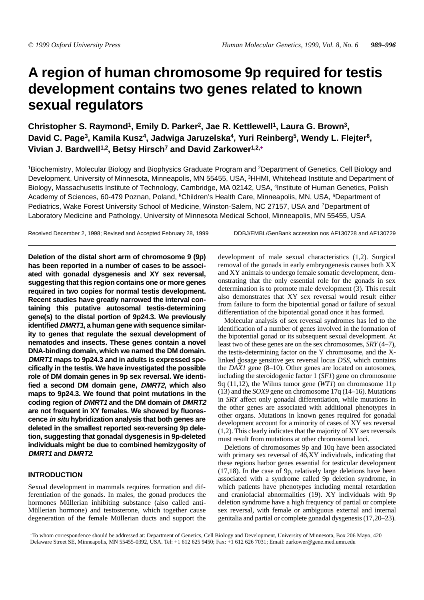# **A region of human chromosome 9p required for testis development contains two genes related to known sexual regulators**

Christopher S. Raymond<sup>1</sup>, Emily D. Parker<sup>2</sup>, Jae R. Kettlewell<sup>1</sup>, Laura G. Brown<sup>3</sup>, **David C. Page3, Kamila Kusz4, Jadwiga Jaruzelska4, Yuri Reinberg5, Wendy L. Flejter6, Vivian J. Bardwell1,2, Betsy Hirsch7 and David Zarkower1,2,+**

1Biochemistry, Molecular Biology and Biophysics Graduate Program and 2Department of Genetics, Cell Biology and Development, University of Minnesota, Minneapolis, MN 55455, USA, 3HHMI, Whitehead Institute and Department of Biology, Massachusetts Institute of Technology, Cambridge, MA 02142, USA, 4Institute of Human Genetics, Polish Academy of Sciences, 60-479 Poznan, Poland, <sup>5</sup>Children's Health Care, Minneapolis, MN, USA, <sup>6</sup>Department of Pediatrics, Wake Forest University School of Medicine, Winston-Salem, NC 27157, USA and 7Department of Laboratory Medicine and Pathology, University of Minnesota Medical School, Minneapolis, MN 55455, USA

Received December 2, 1998; Revised and Accepted February 28, 1999 DDBJ/EMBL/GenBank accession nos AF130728 and AF130729

**Deletion of the distal short arm of chromosome 9 (9p) has been reported in a number of cases to be associated with gonadal dysgenesis and XY sex reversal, suggesting that this region contains one or more genes required in two copies for normal testis development. Recent studies have greatly narrowed the interval containing this putative autosomal testis-determining gene(s) to the distal portion of 9p24.3. We previously identified DMRT1, a human gene with sequence similarity to genes that regulate the sexual development of nematodes and insects. These genes contain a novel DNA-binding domain, which we named the DM domain. DMRT1 maps to 9p24.3 and in adults is expressed specifically in the testis. We have investigated the possible role of DM domain genes in 9p sex reversal. We identified a second DM domain gene, DMRT2, which also maps to 9p24.3. We found that point mutations in the coding region of DMRT1 and the DM domain of DMRT2 are not frequent in XY females. We showed by fluorescence in situ hybridization analysis that both genes are deleted in the smallest reported sex-reversing 9p deletion, suggesting that gonadal dysgenesis in 9p-deleted individuals might be due to combined hemizygosity of DMRT1 and DMRT2.**

# **INTRODUCTION**

Sexual development in mammals requires formation and differentiation of the gonads. In males, the gonad produces the hormones Müllerian inhibiting substance (also called anti-Müllerian hormone) and testosterone, which together cause degeneration of the female Müllerian ducts and support the development of male sexual characteristics (1,2). Surgical removal of the gonads in early embryogenesis causes both XX and XY animals to undergo female somatic development, demonstrating that the only essential role for the gonads in sex determination is to promote male development (3). This result also demonstrates that XY sex reversal would result either from failure to form the bipotential gonad or failure of sexual differentiation of the bipotential gonad once it has formed.

Molecular analysis of sex reversal syndromes has led to the identification of a number of genes involved in the formation of the bipotential gonad or its subsequent sexual development. At least two of these genes are on the sex chromosomes, *SRY* (4–7), the testis-determining factor on the Y chromosome, and the Xlinked dosage sensitive sex reversal locus *DSS*, which contains the *DAX1* gene (8–10). Other genes are located on autosomes, including the steroidogenic factor 1 (*SF1*) gene on chromosome 9q (11,12), the Wilms tumor gene (*WT1*) on chromosome 11p (13) and the *SOX9* gene on chromosome 17q (14–16). Mutations in *SRY* affect only gonadal differentiation, while mutations in the other genes are associated with additional phenotypes in other organs. Mutations in known genes required for gonadal development account for a minority of cases of XY sex reversal (1,2). This clearly indicates that the majority of XY sex reversals must result from mutations at other chromosomal loci.

Deletions of chromosomes 9p and 10q have been associated with primary sex reversal of 46,XY individuals, indicating that these regions harbor genes essential for testicular development (17,18). In the case of 9p, relatively large deletions have been associated with a syndrome called 9p deletion syndrome, in which patients have phenotypes including mental retardation and craniofacial abnormalities (19). XY individuals with 9p deletion syndrome have a high frequency of partial or complete sex reversal, with female or ambiguous external and internal genitalia and partial or complete gonadal dysgenesis (17,20–23).

+To whom correspondence should be addressed at: Department of Genetics, Cell Biology and Development, University of Minnesota, Box 206 Mayo, 420 Delaware Street SE, Minneapolis, MN 55455-0392, USA. Tel: +1 612 625 9450; Fax: +1 612 626 7031; Email: zarkower@gene.med.umn.edu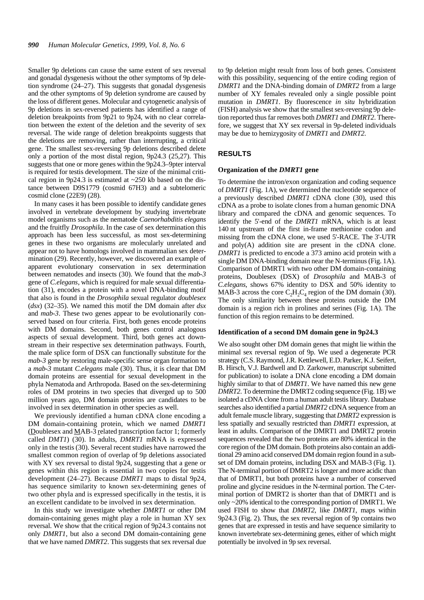Smaller 9p deletions can cause the same extent of sex reversal and gonadal dysgenesis without the other symptoms of 9p deletion syndrome (24–27). This suggests that gonadal dysgenesis and the other symptoms of 9p deletion syndrome are caused by the loss of different genes. Molecular and cytogenetic analysis of 9p deletions in sex-reversed patients has identified a range of deletion breakpoints from 9p21 to 9p24, with no clear correlation between the extent of the deletion and the severity of sex reversal. The wide range of deletion breakpoints suggests that the deletions are removing, rather than interrupting, a critical gene. The smallest sex-reversing 9p deletions described delete only a portion of the most distal region, 9p24.3 (25,27). This suggests that one or more genes within the 9p24.3–9pter interval is required for testis development. The size of the minimal critical region in 9p24.3 is estimated at  $\sim$ 250 kb based on the distance between D9S1779 (cosmid 67H3) and a subtelomeric cosmid clone (22E9) (28).

In many cases it has been possible to identify candidate genes involved in vertebrate development by studying invertebrate model organisms such as the nematode *Caenorhabditis elegans* and the fruitfly *Drosophila*. In the case of sex determination this approach has been less successful, as most sex-determining genes in these two organisms are molecularly unrelated and appear not to have homologs involved in mammalian sex determination (29). Recently, however, we discovered an example of apparent evolutionary conservation in sex determination between nematodes and insects (30). We found that the *mab-3* gene of *C.elegans*, which is required for male sexual differentiation (31), encodes a protein with a novel DNA-binding motif that also is found in the *Drosophila* sexual regulator *doublesex* (*dsx*) (32–35). We named this motif the DM domain after *dsx* and *mab-3*. These two genes appear to be evolutionarily conserved based on four criteria. First, both genes encode proteins with DM domains. Second, both genes control analogous aspects of sexual development. Third, both genes act downstream in their respective sex determination pathways. Fourth, the male splice form of DSX can functionally substitute for the *mab-3* gene by restoring male-specific sense organ formation to a *mab-3* mutant *C.elegans* male (30). Thus, it is clear that DM domain proteins are essential for sexual development in the phyla Nematoda and Arthropoda. Based on the sex-determining roles of DM proteins in two species that diverged up to 500 million years ago, DM domain proteins are candidates to be involved in sex determination in other species as well.

We previously identified a human cDNA clone encoding a DM domain-containing protein, which we named *DMRT1* (Doublesex and MAB-3 related transcription factor 1; formerly called *DMT1*) (30). In adults, *DMRT1* mRNA is expressed only in the testis (30). Several recent studies have narrowed the smallest common region of overlap of 9p deletions associated with XY sex reversal to distal 9p24, suggesting that a gene or genes within this region is essential in two copies for testis development (24–27). Because *DMRT1* maps to distal 9p24, has sequence similarity to known sex-determining genes of two other phyla and is expressed specifically in the testis, it is an excellent candidate to be involved in sex determination.

In this study we investigate whether *DMRT1* or other DM domain-containing genes might play a role in human XY sex reversal. We show that the critical region of 9p24.3 contains not only *DMRT1*, but also a second DM domain-containing gene that we have named *DMRT2*. This suggests that sex reversal due to 9p deletion might result from loss of both genes. Consistent with this possibility, sequencing of the entire coding region of *DMRT1* and the DNA-binding domain of *DMRT2* from a large number of XY females revealed only a single possible point mutation in *DMRT1*. By fluorescence *in situ* hybridization (FISH) analysis we show that the smallest sex-reversing 9p deletion reported thus far removes both *DMRT1* and *DMRT2*. Therefore, we suggest that XY sex reversal in 9p-deleted individuals may be due to hemizygosity of *DMRT1* and *DMRT2*.

# **RESULTS**

#### **Organization of the** *DMRT1* **gene**

To determine the intron/exon organization and coding sequence of *DMRT1* (Fig. 1A), we determined the nucleotide sequence of a previously described *DMRT1* cDNA clone (30), used this cDNA as a probe to isolate clones from a human genomic DNA library and compared the cDNA and genomic sequences. To identify the 5'-end of the *DMRT1* mRNA, which is at least 140 nt upstream of the first in-frame methionine codon and missing from the cDNA clone, we used 5'-RACE. The 3'-UTR and poly(A) addition site are present in the cDNA clone. *DMRT1* is predicted to encode a 373 amino acid protein with a single DM DNA-binding domain near the N-terminus (Fig. 1A). Comparison of DMRT1 with two other DM domain-containing proteins, Doublesex (DSX) of *Drosophila* and MAB-3 of *C.elegans*, shows 67% identity to DSX and 50% identity to MAB-3 across the core  $C_2H_2C_4$  region of the DM domain (30). The only similarity between these proteins outside the DM domain is a region rich in prolines and serines (Fig. 1A). The function of this region remains to be determined.

#### **Identification of a second DM domain gene in 9p24.3**

We also sought other DM domain genes that might lie within the minimal sex reversal region of 9p. We used a degenerate PCR strategy (C.S. Raymond, J.R. Kettlewell, E.D. Parker, K.J. Seifert, B. Hirsch, V.J. Bardwell and D. Zarkower, manuscript submitted for publication) to isolate a DNA clone encoding a DM domain highly similar to that of *DMRT1*. We have named this new gene *DMRT2*. To determine the DMRT2 coding sequence (Fig. 1B) we isolated a cDNA clone from a human adult testis library. Database searches also identified a partial *DMRT2* cDNA sequence from an adult female muscle library, suggesting that *DMRT2* expression is less spatially and sexually restricted than *DMRT1* expression, at least in adults. Comparison of the DMRT1 and DMRT2 protein sequences revealed that the two proteins are 80% identical in the core region of the DM domain. Both proteins also contain an additional 29 amino acid conserved DM domain region found in a subset of DM domain proteins, including DSX and MAB-3 (Fig. 1). The N-terminal portion of DMRT2 is longer and more acidic than that of DMRT1, but both proteins have a number of conserved proline and glycine residues in the N-terminal portion. The C-terminal portion of DMRT2 is shorter than that of DMRT1 and is only ~20% identical to the corresponding portion of DMRT1. We used FISH to show that *DMRT2*, like *DMRT1*, maps within 9p24.3 (Fig. 2). Thus, the sex reversal region of 9p contains two genes that are expressed in testis and have sequence similarity to known invertebrate sex-determining genes, either of which might potentially be involved in 9p sex reversal.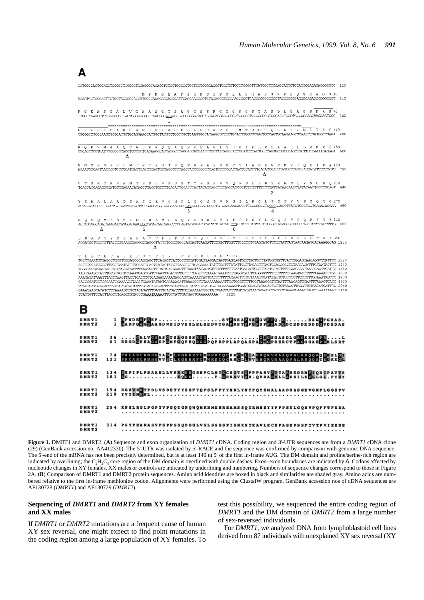

**Figure 1.** DMRT1 and DMRT2. (**A**) Sequence and exon organization of *DMRT1* cDNA. Coding region and 3'-UTR sequences are from a *DMRT1* cDNA clone (29) (GenBank accession no. AA412330). The 5'-UTR was isolated by 5'-RACE and the sequence was confirmed by comparison with genomic DNA sequence. The 5'-end of the mRNA has not been precisely determined, but is at least 140 nt 5' of the first in-frame AUG. The DM domain and proline/serine-rich region are indicated by overlining; the C<sub>2</sub>H<sub>2</sub>C<sub>4</sub> core region of the DM domain is overlined with double dashes. Exon–exon boundaries are indicated by  $\Delta$ . Codons affected by nucleotide changes in XY females, XX males or controls are indicated by underlining and numbering. Numbers of sequence changes correspond to those in Figure 2A. (**B**) Comparison of DMRT1 and DMRT2 protein sequences. Amino acid identities are boxed in black and similarities are shaded gray. Amino acids are numbered relative to the first in-frame methionine codon. Alignments were performed using the ClustalW program. GenBank accession nos of cDNA sequences are AF130728 (*DMRT1*) and AF130729 (*DMRT2*).

# **Sequencing of** *DMRT1* **and** *DMRT2* **from XY females and XX males**

If *DMRT1* or *DMRT2* mutations are a frequent cause of human XY sex reversal, one might expect to find point mutations in the coding region among a large population of XY females. To

test this possibility, we sequenced the entire coding region of *DMRT1* and the DM domain of *DMRT2* from a large number of sex-reversed individuals.

For *DMRT1*, we analyzed DNA from lymphoblastoid cell lines derived from 87 individuals with unexplained XY sex reversal (XY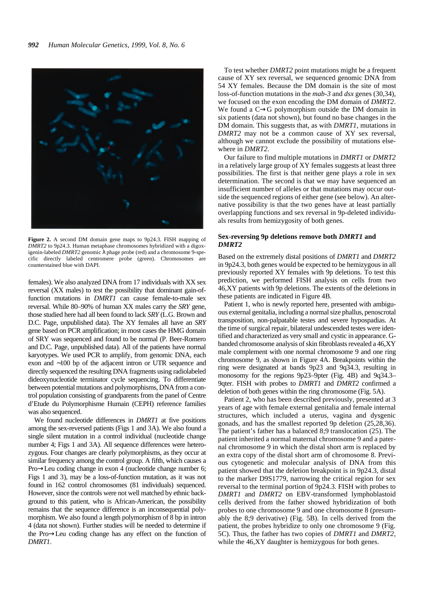

**Figure 2.** A second DM domain gene maps to 9p24.3. FISH mapping of *DMRT2* to 9p24.3. Human metaphase chromosomes hybridized with a digoxigenin-labeled *DMRT2* genomic λ phage probe (red) and a chromosome 9-specific directly labeled centromere probe (green). Chromosomes are counterstained blue with DAPI.

females). We also analyzed DNA from 17 individuals with XX sex reversal (XX males) to test the possibility that dominant gain-offunction mutations in *DMRT1* can cause female-to-male sex reversal. While 80–90% of human XX males carry the *SRY* gene, those studied here had all been found to lack *SRY* (L.G. Brown and D.C. Page, unpublished data). The XY females all have an *SRY* gene based on PCR amplification; in most cases the HMG domain of SRY was sequenced and found to be normal (P. Beer-Romero and D.C. Page, unpublished data). All of the patients have normal karyotypes. We used PCR to amplify, from genomic DNA, each exon and ∼100 bp of the adjacent intron or UTR sequence and directly sequenced the resulting DNA fragments using radiolabeled dideoxynucleotide terminator cycle sequencing. To differentiate between potential mutations and polymorphisms, DNA from a control population consisting of grandparents from the panel of Centre d'Etude du Polymorphisme Humain (CEPH) reference families was also sequenced.

We found nucleotide differences in *DMRT1* at five positions among the sex-reversed patients (Figs 1 and 3A). We also found a single silent mutation in a control individual (nucleotide change number 4; Figs 1 and 3A). All sequence differences were heterozygous. Four changes are clearly polymorphisms, as they occur at similar frequency among the control group. A fifth, which causes a Pro→Leu coding change in exon 4 (nucleotide change number 6; Figs 1 and 3), may be a loss-of-function mutation, as it was not found in 162 control chromosomes (81 individuals) sequenced. However, since the controls were not well matched by ethnic background to this patient, who is African-American, the possibility remains that the sequence difference is an inconsequential polymorphism. We also found a length polymorphism of 8 bp in intron 4 (data not shown). Further studies will be needed to determine if the Pro→Leu coding change has any effect on the function of *DMRT1*.

To test whether *DMRT2* point mutations might be a frequent cause of XY sex reversal, we sequenced genomic DNA from 54 XY females. Because the DM domain is the site of most loss-of-function mutations in the *mab-3* and *dsx* genes (30,34), we focused on the exon encoding the DM domain of *DMRT2*. We found a C→G polymorphism outside the DM domain in six patients (data not shown), but found no base changes in the DM domain. This suggests that, as with *DMRT1*, mutations in *DMRT2* may not be a common cause of XY sex reversal, although we cannot exclude the possibility of mutations elsewhere in *DMRT2*.

Our failure to find multiple mutations in *DMRT1* or *DMRT2* in a relatively large group of XY females suggests at least three possibilities. The first is that neither gene plays a role in sex determination. The second is that we may have sequenced an insufficient number of alleles or that mutations may occur outside the sequenced regions of either gene (see below). An alternative possibility is that the two genes have at least partially overlapping functions and sex reversal in 9p-deleted individuals results from hemizygosity of both genes.

## **Sex-reversing 9p deletions remove both** *DMRT1* **and** *DMRT2*

Based on the extremely distal positions of *DMRT1* and *DMRT2* in 9p24.3, both genes would be expected to be hemizygous in all previously reported XY females with 9p deletions. To test this prediction, we performed FISH analysis on cells from two 46,XY patients with 9p deletions. The extents of the deletions in these patients are indicated in Figure 4B.

Patient 1, who is newly reported here, presented with ambiguous external genitalia, including a normal size phallus, penoscrotal transposition, non-palpatable testes and severe hypospadias. At the time of surgical repair, bilateral undescended testes were identified and characterized as very small and cystic in appearance. Gbanded chromosome analysis of skin fibroblasts revealed a 46,XY male complement with one normal chromosome 9 and one ring chromosome 9, as shown in Figure 4A. Breakpoints within the ring were designated at bands 9p23 and 9q34.3, resulting in monosomy for the regions 9p23–9pter (Fig. 4B) and 9q34.3– 9qter. FISH with probes to *DMRT1* and *DMRT2* confirmed a deletion of both genes within the ring chromosome (Fig. 5A).

Patient 2, who has been described previously, presented at 3 years of age with female external genitalia and female internal structures, which included a uterus, vagina and dysgenic gonads, and has the smallest reported 9p deletion (25,28,36). The patient's father has a balanced 8;9 translocation (25). The patient inherited a normal maternal chromosome 9 and a paternal chromosome 9 in which the distal short arm is replaced by an extra copy of the distal short arm of chromosome 8. Previous cytogenetic and molecular analysis of DNA from this patient showed that the deletion breakpoint is in 9p24.3, distal to the marker D9S1779, narrowing the critical region for sex reversal to the terminal portion of 9p24.3. FISH with probes to *DMRT1* and *DMRT2* on EBV-transformed lymphoblastoid cells derived from the father showed hybridization of both probes to one chromosome 9 and one chromosome 8 (presumably the 8;9 derivative) (Fig. 5B). In cells derived from the patient, the probes hybridize to only one chromosome 9 (Fig. 5C). Thus, the father has two copies of *DMRT1* and *DMRT2*, while the 46,XY daughter is hemizygous for both genes.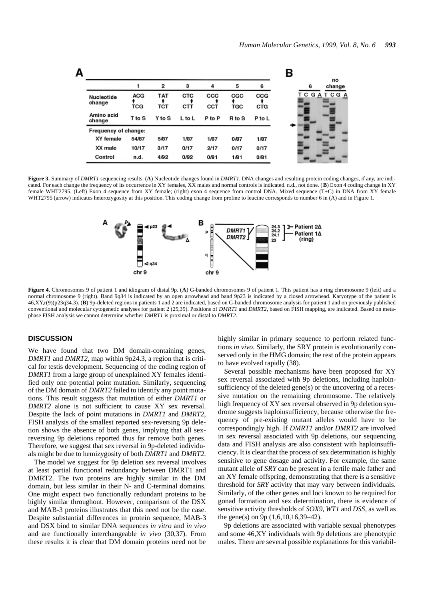

**Figure 3.** Summary of *DMRT1* sequencing results. (**A**) Nucleotide changes found in *DMRT1*. DNA changes and resulting protein coding changes, if any, are indicated. For each change the frequency of its occurrence in XY females, XX males and normal controls is indicated. n.d., not done. (**B**) Exon 4 coding change in XY female WHT2795. (Left) Exon 4 sequence from XY female; (right) exon 4 sequence from control DNA. Mixed sequence (T+C) in DNA from XY female WHT2795 (arrow) indicates heterozygosity at this position. This coding change from proline to leucine corresponds to number 6 in (A) and in Figure 1.



**Figure 4.** Chromosomes 9 of patient 1 and idiogram of distal 9p. (**A**) G-banded chromosomes 9 of patient 1. This patient has a ring chromosome 9 (left) and a normal chromosome 9 (right). Band 9q34 is indicated by an open arrowhead and band 9p23 is indicated by a closed arrowhead. Karyotype of the patient is 46,XY,r(9)(p23q34.3). (**B**) 9p-deleted regions in patients 1 and 2 are indicated, based on G-banded chromosome analysis for patient 1 and on previously published conventional and molecular cytogenetic analyses for patient 2 (25,35). Positions of *DMRT1* and *DMRT2*, based on FISH mapping, are indicated. Based on metaphase FISH analysis we cannot determine whether *DMRT1* is proximal or distal to *DMRT2*.

## **DISCUSSION**

We have found that two DM domain-containing genes, *DMRT1* and *DMRT2*, map within 9p24.3, a region that is critical for testis development. Sequencing of the coding region of *DMRT1* from a large group of unexplained XY females identified only one potential point mutation. Similarly, sequencing of the DM domain of *DMRT2* failed to identify any point mutations. This result suggests that mutation of either *DMRT1* or *DMRT2* alone is not sufficient to cause XY sex reversal. Despite the lack of point mutations in *DMRT1* and *DMRT2*, FISH analysis of the smallest reported sex-reversing 9p deletion shows the absence of both genes, implying that all sexreversing 9p deletions reported thus far remove both genes. Therefore, we suggest that sex reversal in 9p-deleted individuals might be due to hemizygosity of both *DMRT1* and *DMRT2*.

The model we suggest for 9p deletion sex reversal involves at least partial functional redundancy between DMRT1 and DMRT2. The two proteins are highly similar in the DM domain, but less similar in their N- and C-terminal domains. One might expect two functionally redundant proteins to be highly similar throughout. However, comparison of the DSX and MAB-3 proteins illustrates that this need not be the case. Despite substantial differences in protein sequence, MAB-3 and DSX bind to similar DNA sequences *in vitro* and *in vivo* and are functionally interchangeable *in vivo* (30,37). From these results it is clear that DM domain proteins need not be highly similar in primary sequence to perform related functions *in vivo*. Similarly, the SRY protein is evolutionarily conserved only in the HMG domain; the rest of the protein appears to have evolved rapidly (38).

Several possible mechanisms have been proposed for XY sex reversal associated with 9p deletions, including haploinsufficiency of the deleted gene(s) or the uncovering of a recessive mutation on the remaining chromosome. The relatively high frequency of XY sex reversal observed in 9p deletion syndrome suggests haploinsufficiency, because otherwise the frequency of pre-existing mutant alleles would have to be correspondingly high. If *DMRT1* and/or *DMRT2* are involved in sex reversal associated with 9p deletions, our sequencing data and FISH analysis are also consistent with haploinsufficiency. It is clear that the process of sex determination is highly sensitive to gene dosage and activity. For example, the same mutant allele of *SRY* can be present in a fertile male father and an XY female offspring, demonstrating that there is a sensitive threshold for *SRY* activity that may vary between individuals. Similarly, of the other genes and loci known to be required for gonad formation and sex determination, there is evidence of sensitive activity thresholds of *SOX9*, *WT1* and *DSS*, as well as the gene(s) on 9p (1,6,10,16,39–42).

9p deletions are associated with variable sexual phenotypes and some 46,XY individuals with 9p deletions are phenotypic males. There are several possible explanations for this variabil-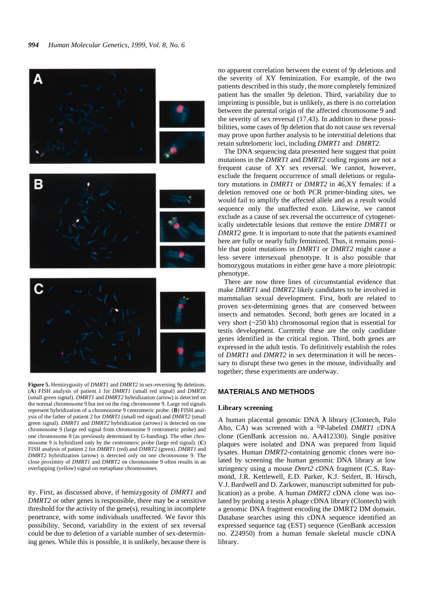

**Figure 5.** Hemizygosity of *DMRT1* and *DMRT2* in sex-reversing 9p deletions. (**A**) FISH analysis of patient 1 for *DMRT1* (small red signal) and *DMRT2* (small green signal). *DMRT1* and *DMRT2* hybridization (arrow) is detected on the normal chromosome 9 but not on the ring chromosome 9. Large red signals represent hybridization of a chromosome 9 centromeric probe. (**B**) FISH analysis of the father of patient 2 for *DMRT1* (small red signal) and *DMRT2* (small green signal). *DMRT1* and *DMRT2* hybridization (arrows) is detected on one chromosome 9 (large red signal from chromosome 9 centromeric probe) and one chromosome 8 (as previously determined by G-banding). The other chromosome 9 is hybridized only by the centromeric probe (large red signal). (**C**) FISH analysis of patient 2 for *DMRT1* (red) and *DMRT2* (green). *DMRT1* and *DMRT2* hybridization (arrow) is detected only on one chromosome 9. The close proximity of *DMRT1* and *DMRT2* on chromosome 9 often results in an overlapping (yellow) signal on metaphase chromosomes.

ity. First, as discussed above, if hemizygosity of *DMRT1* and *DMRT2* or other genes is responsible, there may be a sensitive threshold for the activity of the gene(s), resulting in incomplete penetrance, with some individuals unaffected. We favor this possibility. Second, variability in the extent of sex reversal could be due to deletion of a variable number of sex-determining genes. While this is possible, it is unlikely, because there is no apparent correlation between the extent of 9p deletions and the severity of XY feminization. For example, of the two patients described in this study, the more completely feminized patient has the smaller 9p deletion. Third, variability due to imprinting is possible, but is unlikely, as there is no correlation between the parental origin of the affected chromosome 9 and the severity of sex reversal (17,43). In addition to these possibilities, some cases of 9p deletion that do not cause sex reversal may prove upon further analysis to be interstitial deletions that retain subtelomeric loci, including *DMRT1* and *DMRT2*.

The DNA sequencing data presented here suggest that point mutations in the *DMRT1* and *DMRT2* coding regions are not a frequent cause of XY sex reversal. We cannot, however, exclude the frequent occurrence of small deletions or regulatory mutations in *DMRT1* or *DMRT2* in 46,XY females: if a deletion removed one or both PCR primer-binding sites, we would fail to amplify the affected allele and as a result would sequence only the unaffected exon. Likewise, we cannot exclude as a cause of sex reversal the occurrence of cytogenetically undetectable lesions that remove the entire *DMRT1* or *DMRT2* gene. It is important to note that the patients examined here are fully or nearly fully feminized. Thus, it remains possible that point mutations in *DMRT1* or *DMRT2* might cause a less severe intersexual phenotype. It is also possible that homozygous mutations in either gene have a more pleiotropic phenotype.

There are now three lines of circumstantial evidence that make *DMRT1* and *DMRT2* likely candidates to be involved in mammalian sexual development. First, both are related to proven sex-determining genes that are conserved between insects and nematodes. Second, both genes are located in a very short (~250 kb) chromosomal region that is essential for testis development. Currently these are the only candidate genes identified in the critical region. Third, both genes are expressed in the adult testis. To definitively establish the roles of *DMRT1* and *DMRT2* in sex determination it will be necessary to disrupt these two genes in the mouse, individually and together; these experiments are underway.

## **MATERIALS AND METHODS**

#### **Library screening**

A human placental genomic DNA λ library (Clontech, Palo Alto, CA) was screened with a 32P-labeled *DMRT1* cDNA clone (GenBank accession no. AA412330). Single positive plaques were isolated and DNA was prepared from liquid lysates. Human *DMRT2*-containing genomic clones were isolated by screening the human genomic DNA library at low stringency using a mouse *Dmrt2* cDNA fragment (C.S. Raymond, J.R. Kettlewell, E.D. Parker, K.J. Seifert, B. Hirsch, V.J. Bardwell and D. Zarkower, manuscript submitted for publication) as a probe. A human *DMRT2* cDNA clone was isolated by probing a testis  $\lambda$  phage cDNA library (Clontech) with a genomic DNA fragment encoding the DMRT2 DM domain. Database searches using this cDNA sequence identified an expressed sequence tag (EST) sequence (GenBank accession no. Z24950) from a human female skeletal muscle cDNA library.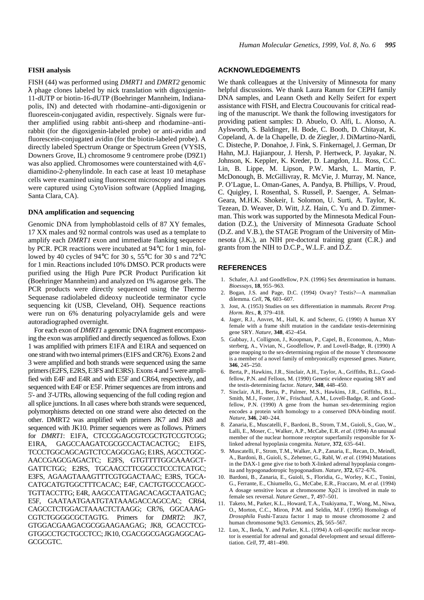#### **FISH analysis**

FISH (44) was performed using *DMRT1* and *DMRT2* genomic  $\lambda$  phage clones labeled by nick translation with digoxigenin-11-dUTP or biotin-16-dUTP (Boehringer Mannheim, Indianapolis, IN) and detected with rhodamine–anti-digoxigenin or fluorescein-conjugated avidin, respectively. Signals were further amplified using rabbit anti-sheep and rhodamine–antirabbit (for the digoxigenin-labeled probe) or anti-avidin and fluorescein-conjugated avidin (for the biotin-labeled probe). A directly labeled Spectrum Orange or Spectrum Green (VYSIS, Downers Grove, IL) chromosome 9 centromere probe (D9Z1) was also applied. Chromosomes were counterstained with 4,6' diamidino-2-phenylindole. In each case at least 10 metaphase cells were examined using fluorescent microscopy and images were captured using CytoVision software (Applied Imaging, Santa Clara, CA).

### **DNA amplification and sequencing**

Genomic DNA from lymphoblastoid cells of 87 XY females, 17 XX males and 92 normal controls was used as a template to amplify each *DMRT1* exon and immediate flanking sequence by PCR. PCR reactions were incubated at 94°C for 1 min, followed by 40 cycles of 94°C for 30 s, 55°C for 30 s and 72°C for 1 min. Reactions included 10% DMSO. PCR products were purified using the High Pure PCR Product Purification kit (Boehringer Mannheim) and analyzed on 1% agarose gels. The PCR products were directly sequenced using the Thermo Sequenase radiolabeled dideoxy nucleotide terminator cycle sequencing kit (USB, Cleveland, OH). Sequence reactions were run on 6% denaturing polyacrylamide gels and were autoradiographed overnight.

For each exon of *DMRT1* a genomic DNA fragment encompassing the exon was amplified and directly sequenced as follows. Exon 1 was amplified with primers E1FA and E1RA and sequenced on one strand with two internal primers (E1FS and CR76). Exons 2 and 3 were amplified and both strands were sequenced using the same primers (E2FS, E2RS, E3FS and E3RS). Exons 4 and 5 were amplified with E4F and E4R and with E5F and CR64, respectively, and sequenced with E4F or E5F. Primer sequences are from introns and 5'- and 3'-UTRs, allowing sequencing of the full coding region and all splice junctions. In all cases where both strands were sequenced, polymorphisms detected on one strand were also detected on the other. DMRT2 was amplified with primers JK7 and JK8 and sequenced with JK10. Primer sequences were as follows. Primers for *DMRT1*: E1FA, CTCCGGAGCGTCGCTGTCCGTCGG; E1RA, GAGCCAAGATCGCGCCACTACACTGC; E1FS, TCCCTGGCAGCAGTCTCCAGGCGAG; E1RS, AGCCTGGC-AACCGAGCGAGACTC; E2FS, GTGTTTTGGCAAAGCT-GATTCTGG; E2RS, TGCAACCTTCGGCCTCCCTCATGC; E3FS, AGAAGTAAAGTTTCGTGGACTAAC; E3RS, TGCA-CATGCATGTGGCTTTCACAC; E4F, CACTGTGCCCAGCC-TGTTACCTTG; E4R, AAGCCATTAGACACAGCTAATGAC; E5F, GAATAATGAATGTATAAAGACCAGCCAC; CR64, CAGCCTCTGGACTAAACTCTAAGG; CR76, GGCAAAG-CGTCTGGGGCGCTAGTG. Primers for *DMRT2*: JK7, GTGGACGAAGACGCGGAAGAAGAG; JK8, GCACCTCG-GTGGCCTGCTGCCTCC; JK10, CGACGGCGAGGAGGCAG-GCGCGTC.

# **ACKNOWLEDGEMENTS**

We thank colleagues at the University of Minnesota for many helpful discussions. We thank Laura Ranum for CEPH family DNA samples, and Leann Oseth and Kelly Seifert for expert assistance with FISH, and Electra Coucouvanis for critical reading of the manuscript. We thank the following investigators for providing patient samples: D. Abuelo, O. Alfi, L. Alonso, A. Aylsworth, S. Baldinger, H. Bode, C. Booth, D. Chitayat, K. Copeland, A. de la Chapelle, D. de Ziegler, J. DiMartino-Nardi, C. Disteche, P. Donahoe, J. Fink, S. Finkernagel, J. German, Dr Hahn, M.J. Hajianpour, J. Hersh, P. Hertweck, P. Jayakar, N. Johnson, K. Keppler, K. Kreder, D. Langdon, J.L. Ross, C.C. Lin, B. Lippe, M. Lipson, P.W. Marsh, L. Martin, P. McDonough, B. McGillivray, R. McVie, J. Murray, M. Nance, P. O'Lague, L. Oman-Ganes, A. Pandya, B. Phillips, V. Proud, C. Quigley, I. Rosenthal, S. Russell, P. Saenger, A. Selman-Geara, M.H.K. Shokeir, I. Solomon, U. Surti, A. Taylor, K. Tezean, D. Weaver, D. Witt, J.Z. Hain, C. Yu and D. Zimmerman. This work was supported by the Minnesota Medical Foundation (D.Z.), the University of Minnesota Graduate School (D.Z. and V.B.), the STAGE Program of the University of Minnesota (J.K.), an NIH pre-doctoral training grant (C.R.) and grants from the NIH to D.C.P., W.L.F. and D.Z.

# **REFERENCES**

- 1. Schafer, A.J. and Goodfellow, P.N. (1996) Sex determination in humans. *Bioessays*, **18**, 955–963.
- 2. Bogan, J.S. and Page, D.C. (1994) Ovary? Testis?—A mammalian dilemma. *Cell*, **76**, 603–607.
- 3. Jost, A. (1953) Studies on sex differentiation in mammals. *Recent Prog. Horm. Res.*, **8**, 379–418.
- 4. Jager, R.J., Anvret, M., Hall, K. and Scherer, G. (1990) A human XY female with a frame shift mutation in the candidate testis-determining gene SRY*. Nature*, **348**, 452–454.
- 5. Gubbay, J., Collignon, J., Koopman, P., Capel, B., Economou, A., Munsterberg, A., Vivian, N., Goodfellow, P. and Lovell-Badge, R. (1990) A gene mapping to the sex-determining region of the mouse Y chromosome is a member of a novel family of embryonically expressed genes. *Nature*, **346**, 245–250.
- 6. Berta, P., Hawkins, J.R., Sinclair, A.H., Taylor, A., Griffiths, B.L., Goodfellow, P.N. and Fellous, M. (1990) Genetic evidence equating SRY and the testis-determining factor. *Nature*, **348**, 448–450.
- 7. Sinclair, A.H., Berta, P., Palmer, M.S., Hawkins, J.R., Griffiths, B.L., Smith, M.J., Foster, J.W., Frischauf, A.M., Lovell-Badge, R. and Goodfellow, P.N. (1990) A gene from the human sex-determining region encodes a protein with homology to a conserved DNA-binding motif. *Nature*, **346**, 240–244.
- 8. Zanaria, E., Muscatelli, F., Bardoni, B., Strom, T.M., Guioli, S., Guo, W., Lalli, E., Moser, C., Walker, A.P., McCabe, E.R. *et al.* (1994) An unusual member of the nuclear hormone receptor superfamily responsible for Xlinked adrenal hypoplasia congenita. *Nature*, **372**, 635–641.
- 9. Muscatelli, F., Strom, T.M., Walker, A.P., Zanaria, E., Recan, D., Meindl, A., Bardoni, B., Guioli, S., Zehetner, G., Rabl, W. *et al.* (1994) Mutations in the DAX-1 gene give rise to both X-linked adrenal hypoplasia congenita and hypogonadotropic hypogonadism. *Nature*, **372**, 672–676.
- 10. Bardoni, B., Zanaria, E., Guioli, S., Floridia, G., Worley, K.C., Tonini, G., Ferrante, E., Chiumello, G., McCabe, E.R., Fraccaro, M. *et al.* (1994) A dosage sensitive locus at chromosome Xp21 is involved in male to female sex reversal. *Nature Genet.*, **7**, 497–501.
- 11. Taketo, M., Parker, K.L., Howard, T.A., Tsukiyama, T., Wong, M., Niwa, O., Morton, C.C., Miron, P.M. and Seldin, M.F. (1995) Homologs of *Drosophila* Fushi-Tarazu factor 1 map to mouse chromosome 2 and human chromosome 9q33*. Genomics*, **25**, 565–567.
- 12. Luo, X., Ikeda, Y. and Parker, K.L. (1994) A cell-specific nuclear receptor is essential for adrenal and gonadal development and sexual differentiation. *Cell*, **77**, 481–490.